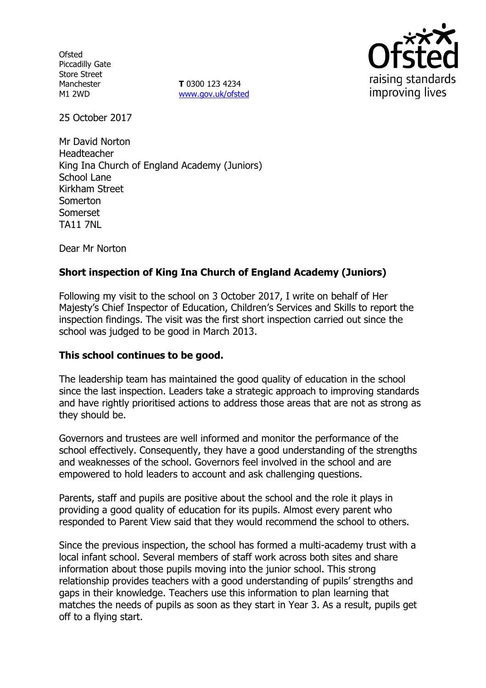**Ofsted** Piccadilly Gate Store Street Manchester M1 2WD

**T** 0300 123 4234 www.gov.uk/ofsted



25 October 2017

Mr David Norton Headteacher King Ina Church of England Academy (Juniors) School Lane Kirkham Street Somerton Somerset TA11 7NL

Dear Mr Norton

# **Short inspection of King Ina Church of England Academy (Juniors)**

Following my visit to the school on 3 October 2017, I write on behalf of Her Majesty's Chief Inspector of Education, Children's Services and Skills to report the inspection findings. The visit was the first short inspection carried out since the school was judged to be good in March 2013.

## **This school continues to be good.**

The leadership team has maintained the good quality of education in the school since the last inspection. Leaders take a strategic approach to improving standards and have rightly prioritised actions to address those areas that are not as strong as they should be.

Governors and trustees are well informed and monitor the performance of the school effectively. Consequently, they have a good understanding of the strengths and weaknesses of the school. Governors feel involved in the school and are empowered to hold leaders to account and ask challenging questions.

Parents, staff and pupils are positive about the school and the role it plays in providing a good quality of education for its pupils. Almost every parent who responded to Parent View said that they would recommend the school to others.

Since the previous inspection, the school has formed a multi-academy trust with a local infant school. Several members of staff work across both sites and share information about those pupils moving into the junior school. This strong relationship provides teachers with a good understanding of pupils' strengths and gaps in their knowledge. Teachers use this information to plan learning that matches the needs of pupils as soon as they start in Year 3. As a result, pupils get off to a flying start.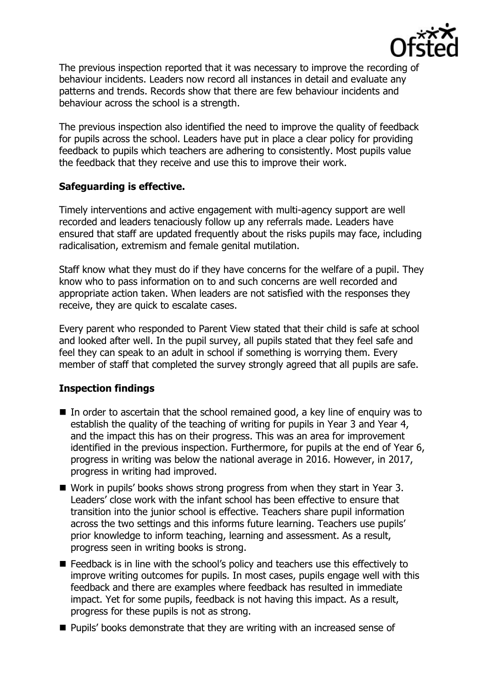

The previous inspection reported that it was necessary to improve the recording of behaviour incidents. Leaders now record all instances in detail and evaluate any patterns and trends. Records show that there are few behaviour incidents and behaviour across the school is a strength.

The previous inspection also identified the need to improve the quality of feedback for pupils across the school. Leaders have put in place a clear policy for providing feedback to pupils which teachers are adhering to consistently. Most pupils value the feedback that they receive and use this to improve their work.

## **Safeguarding is effective.**

Timely interventions and active engagement with multi-agency support are well recorded and leaders tenaciously follow up any referrals made. Leaders have ensured that staff are updated frequently about the risks pupils may face, including radicalisation, extremism and female genital mutilation.

Staff know what they must do if they have concerns for the welfare of a pupil. They know who to pass information on to and such concerns are well recorded and appropriate action taken. When leaders are not satisfied with the responses they receive, they are quick to escalate cases.

Every parent who responded to Parent View stated that their child is safe at school and looked after well. In the pupil survey, all pupils stated that they feel safe and feel they can speak to an adult in school if something is worrying them. Every member of staff that completed the survey strongly agreed that all pupils are safe.

## **Inspection findings**

- $\blacksquare$  In order to ascertain that the school remained good, a key line of enguiry was to establish the quality of the teaching of writing for pupils in Year 3 and Year 4, and the impact this has on their progress. This was an area for improvement identified in the previous inspection. Furthermore, for pupils at the end of Year 6, progress in writing was below the national average in 2016. However, in 2017, progress in writing had improved.
- Work in pupils' books shows strong progress from when they start in Year 3. Leaders' close work with the infant school has been effective to ensure that transition into the junior school is effective. Teachers share pupil information across the two settings and this informs future learning. Teachers use pupils' prior knowledge to inform teaching, learning and assessment. As a result, progress seen in writing books is strong.
- E Feedback is in line with the school's policy and teachers use this effectively to improve writing outcomes for pupils. In most cases, pupils engage well with this feedback and there are examples where feedback has resulted in immediate impact. Yet for some pupils, feedback is not having this impact. As a result, progress for these pupils is not as strong.
- **Pupils' books demonstrate that they are writing with an increased sense of**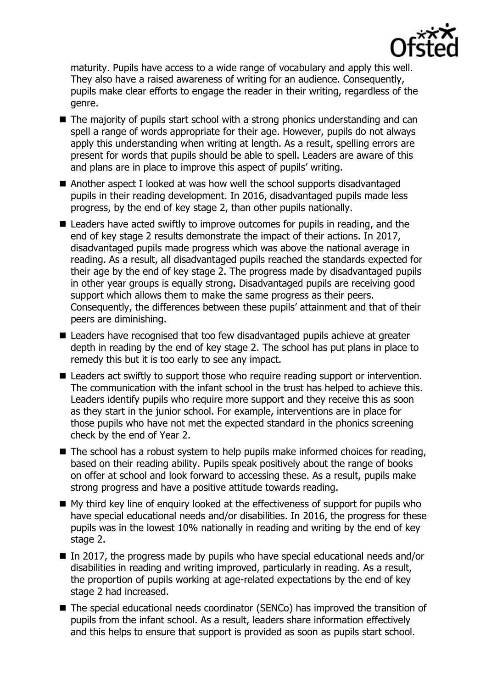

maturity. Pupils have access to a wide range of vocabulary and apply this well. They also have a raised awareness of writing for an audience. Consequently, pupils make clear efforts to engage the reader in their writing, regardless of the genre.

- The majority of pupils start school with a strong phonics understanding and can spell a range of words appropriate for their age. However, pupils do not always apply this understanding when writing at length. As a result, spelling errors are present for words that pupils should be able to spell. Leaders are aware of this and plans are in place to improve this aspect of pupils' writing.
- Another aspect I looked at was how well the school supports disadvantaged pupils in their reading development. In 2016, disadvantaged pupils made less progress, by the end of key stage 2, than other pupils nationally.
- Leaders have acted swiftly to improve outcomes for pupils in reading, and the end of key stage 2 results demonstrate the impact of their actions. In 2017, disadvantaged pupils made progress which was above the national average in reading. As a result, all disadvantaged pupils reached the standards expected for their age by the end of key stage 2. The progress made by disadvantaged pupils in other year groups is equally strong. Disadvantaged pupils are receiving good support which allows them to make the same progress as their peers. Consequently, the differences between these pupils' attainment and that of their peers are diminishing.
- Leaders have recognised that too few disadvantaged pupils achieve at greater depth in reading by the end of key stage 2. The school has put plans in place to remedy this but it is too early to see any impact.
- Leaders act swiftly to support those who require reading support or intervention. The communication with the infant school in the trust has helped to achieve this. Leaders identify pupils who require more support and they receive this as soon as they start in the junior school. For example, interventions are in place for those pupils who have not met the expected standard in the phonics screening check by the end of Year 2.
- The school has a robust system to help pupils make informed choices for reading, based on their reading ability. Pupils speak positively about the range of books on offer at school and look forward to accessing these. As a result, pupils make strong progress and have a positive attitude towards reading.
- $\blacksquare$  My third key line of enquiry looked at the effectiveness of support for pupils who have special educational needs and/or disabilities. In 2016, the progress for these pupils was in the lowest 10% nationally in reading and writing by the end of key stage 2.
- In 2017, the progress made by pupils who have special educational needs and/or disabilities in reading and writing improved, particularly in reading. As a result, the proportion of pupils working at age-related expectations by the end of key stage 2 had increased.
- The special educational needs coordinator (SENCo) has improved the transition of pupils from the infant school. As a result, leaders share information effectively and this helps to ensure that support is provided as soon as pupils start school.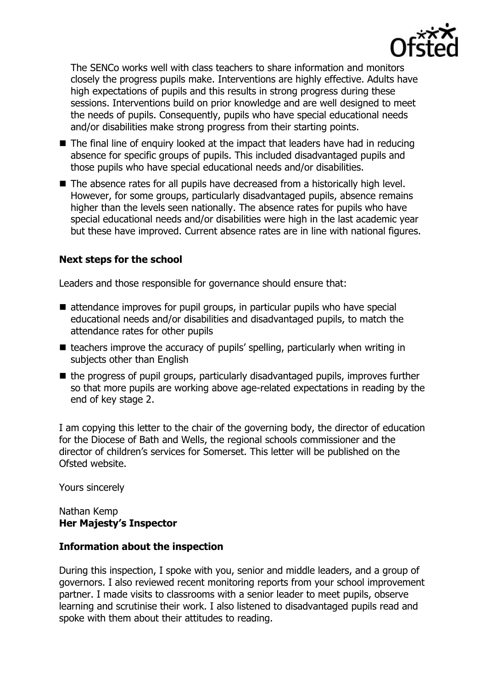

The SENCo works well with class teachers to share information and monitors closely the progress pupils make. Interventions are highly effective. Adults have high expectations of pupils and this results in strong progress during these sessions. Interventions build on prior knowledge and are well designed to meet the needs of pupils. Consequently, pupils who have special educational needs and/or disabilities make strong progress from their starting points.

- $\blacksquare$  The final line of enquiry looked at the impact that leaders have had in reducing absence for specific groups of pupils. This included disadvantaged pupils and those pupils who have special educational needs and/or disabilities.
- The absence rates for all pupils have decreased from a historically high level. However, for some groups, particularly disadvantaged pupils, absence remains higher than the levels seen nationally. The absence rates for pupils who have special educational needs and/or disabilities were high in the last academic year but these have improved. Current absence rates are in line with national figures.

# **Next steps for the school**

Leaders and those responsible for governance should ensure that:

- attendance improves for pupil groups, in particular pupils who have special educational needs and/or disabilities and disadvantaged pupils, to match the attendance rates for other pupils
- $\blacksquare$  teachers improve the accuracy of pupils' spelling, particularly when writing in subjects other than English
- the progress of pupil groups, particularly disadvantaged pupils, improves further so that more pupils are working above age-related expectations in reading by the end of key stage 2.

I am copying this letter to the chair of the governing body, the director of education for the Diocese of Bath and Wells, the regional schools commissioner and the director of children's services for Somerset. This letter will be published on the Ofsted website.

Yours sincerely

Nathan Kemp **Her Majesty's Inspector**

## **Information about the inspection**

During this inspection, I spoke with you, senior and middle leaders, and a group of governors. I also reviewed recent monitoring reports from your school improvement partner. I made visits to classrooms with a senior leader to meet pupils, observe learning and scrutinise their work. I also listened to disadvantaged pupils read and spoke with them about their attitudes to reading.